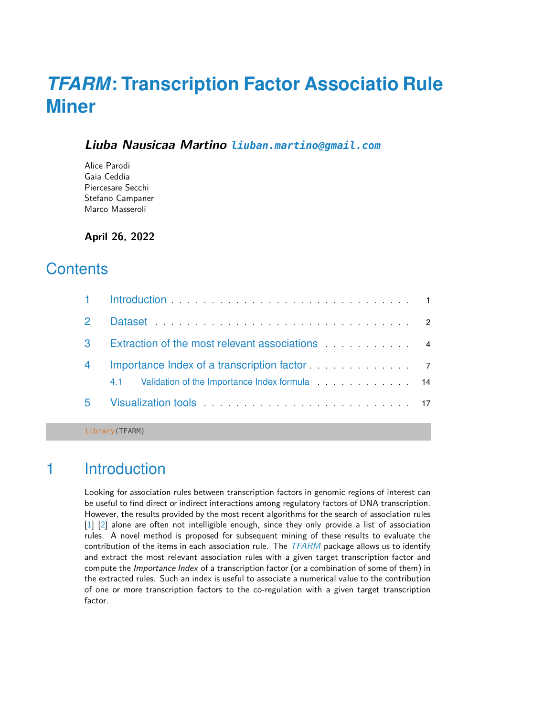# *[TFARM](http://bioconductor.org/packages/TFARM)***: Transcription Factor Associatio Rule Miner**

### **Liuba Nausicaa Martino [liuban.martino@gmail.com](mailto:liuban.martino@gmail.com)**

Alice Parodi Gaia Ceddia Piercesare Secchi Stefano Campaner Marco Masseroli

**April 26, 2022**

## **Contents**

|             | 1 Introduction <b>1</b> Introduction <b>1</b>                                             |
|-------------|-------------------------------------------------------------------------------------------|
| $2^{\circ}$ |                                                                                           |
| 3           | Extraction of the most relevant associations extraction of the most relevant associations |
| 4           | Importance Index of a transcription factor [11] 120 months of a transcription factor      |
|             | Validation of the Importance Index formula Material Material 14<br>4.1                    |
| 5.          |                                                                                           |

<span id="page-0-0"></span>library(TFARM)

## 1 Introduction

<span id="page-0-1"></span>Looking for association rules between transcription factors in genomic regions of interest can be useful to find direct or indirect interactions among regulatory factors of DNA transcription. However, the results provided by the most recent algorithms for the search of association rules [\[1\]](#page-21-0) [\[2\]](#page-21-1) alone are often not intelligible enough, since they only provide a list of association rules. A novel method is proposed for subsequent mining of these results to evaluate the contribution of the items in each association rule. The  $TFARM$  package allows us to identify and extract the most relevant association rules with a given target transcription factor and compute the *Importance Index* of a transcription factor (or a combination of some of them) in the extracted rules. Such an index is useful to associate a numerical value to the contribution of one or more transcription factors to the co-regulation with a given target transcription factor.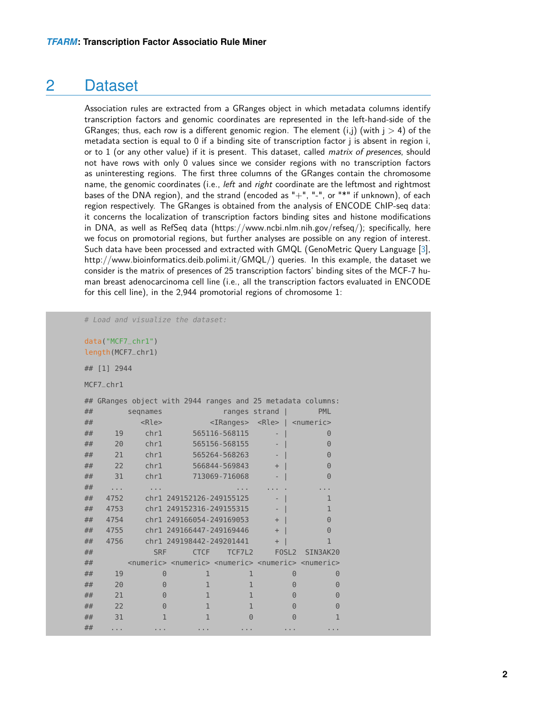### 2 Dataset

Association rules are extracted from a GRanges object in which metadata columns identify transcription factors and genomic coordinates are represented in the left-hand-side of the GRanges; thus, each row is a different genomic region. The element  $(i,j)$  (with  $j > 4$ ) of the metadata section is equal to 0 if a binding site of transcription factor j is absent in region i, or to 1 (or any other value) if it is present. This dataset, called *matrix of presences*, should not have rows with only 0 values since we consider regions with no transcription factors as uninteresting regions. The first three columns of the GRanges contain the chromosome name, the genomic coordinates (i.e., *left* and *right* coordinate are the leftmost and rightmost bases of the DNA region), and the strand (encoded as "+", "-", or "\*" if unknown), of each region respectively. The GRanges is obtained from the analysis of ENCODE ChIP-seq data: it concerns the localization of transcription factors binding sites and histone modifications in DNA, as well as RefSeq data (https://www.ncbi.nlm.nih.gov/refseq/); specifically, here we focus on promotorial regions, but further analyses are possible on any region of interest. Such data have been processed and extracted with GMQL (GenoMetric Query Language [\[3\]](#page-21-2), http://www.bioinformatics.deib.polimi.it/GMQL/) queries. In this example, the dataset we consider is the matrix of presences of 25 transcription factors' binding sites of the MCF-7 human breast adenocarcinoma cell line (i.e., all the transcription factors evaluated in ENCODE for this cell line), in the 2,944 promotorial regions of chromosome 1:

# Load and visualize the dataset:

```
data("MCF7_chr1")
```
length(MCF7\_chr1)

## [1] 2944

MCF7\_chr1

|    |          | ## GRanges object with 2944 ranges and 25 metadata columns:                                         |                          |               |                   |                                                       |
|----|----------|-----------------------------------------------------------------------------------------------------|--------------------------|---------------|-------------------|-------------------------------------------------------|
| ## |          | segnames                                                                                            |                          | ranges strand | - 1               | <b>PML</b>                                            |
| ## |          | <rle></rle>                                                                                         |                          |               |                   | <iranges> <rle>   <numeric></numeric></rle></iranges> |
| ## | 19       | chr1                                                                                                | 565116-568115            |               | ٠                 | $\Theta$                                              |
| ## | 20       | chr1                                                                                                | 565156-568155            |               |                   | 0                                                     |
| ## | 21       | chr1                                                                                                | 565264-568263            |               |                   | $\Theta$                                              |
| ## | 22       | chr1                                                                                                | 566844-569843            |               | $+$               | 0                                                     |
| ## | 31       | chr1                                                                                                | 713069-716068            |               |                   | 0                                                     |
| ## | $\cdots$ |                                                                                                     |                          |               |                   |                                                       |
| ## | 4752     |                                                                                                     | chr1 249152126-249155125 |               |                   | 1                                                     |
| ## | 4753     |                                                                                                     | chr1 249152316-249155315 |               |                   | 1                                                     |
| ## | 4754     |                                                                                                     | chr1 249166054-249169053 |               | $+$               | $\Theta$                                              |
| ## | 4755     |                                                                                                     | chr1 249166447-249169446 |               | $+$               | $\Theta$                                              |
| ## | 4756     |                                                                                                     | chr1 249198442-249201441 |               | $+$               |                                                       |
| ## |          | <b>SRF</b>                                                                                          | <b>CTCF</b>              | TCF7L2        | FOSL <sub>2</sub> | SIN3AK20                                              |
| ## |          | <numeric> <numeric> <numeric> <numeric> <numeric></numeric></numeric></numeric></numeric></numeric> |                          |               |                   |                                                       |
| ## | 19       | $\Theta$                                                                                            | 1                        | 1             |                   | $\Theta$<br>$\Theta$                                  |
| ## | 20       | $\Theta$                                                                                            | $\mathbf{1}$             | 1             |                   | $\Theta$<br>$\Theta$                                  |
| ## | 21       | $\Theta$                                                                                            | $\mathbf{1}$             | $\mathbf{1}$  |                   | $\Theta$<br>$\Theta$                                  |
| ## | 22       | $\Theta$                                                                                            | $\mathbf{1}$             | $\mathbf{1}$  |                   | 0<br>$\Theta$                                         |
| ## | 31       | 1                                                                                                   |                          | $\Theta$      |                   | $\left( \cdot \right)$                                |
| ## | .        |                                                                                                     |                          |               |                   |                                                       |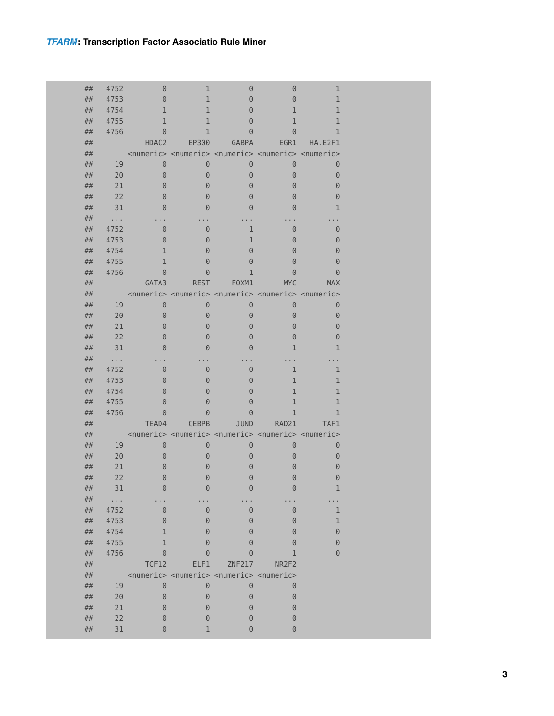| ## | 4752  | 0            | 1            | 0                                                                               | 0                                                                                                   | 1            |
|----|-------|--------------|--------------|---------------------------------------------------------------------------------|-----------------------------------------------------------------------------------------------------|--------------|
| ## | 4753  | $\Theta$     | $\mathbf{1}$ | $\Theta$                                                                        | $\Theta$                                                                                            | $\mathbf{1}$ |
| ## | 4754  | $\mathbf{1}$ | $\mathbf{1}$ | $\Theta$                                                                        | $\mathbf 1$                                                                                         | $\mathbf{1}$ |
| ## | 4755  | $\mathbf{1}$ | 1            | $\Theta$                                                                        | 1                                                                                                   | $\mathbf{1}$ |
| ## | 4756  | $\Theta$     | 1            | $\Theta$                                                                        | $\Theta$                                                                                            | 1            |
| ## |       | HDAC2        | EP300        | <b>GABPA</b>                                                                    | EGR1                                                                                                | HA.E2F1      |
| ## |       |              |              |                                                                                 | <numeric> <numeric> <numeric> <numeric> <numeric></numeric></numeric></numeric></numeric></numeric> |              |
| ## | 19    | $\Theta$     | $\Theta$     | $\Theta$                                                                        | $\Theta$                                                                                            | $\Theta$     |
| ## | 20    | $\Theta$     | $\Theta$     | $\Theta$                                                                        | $\Theta$                                                                                            | $\Theta$     |
| ## | 21    | $\Theta$     | $\Theta$     | $\Theta$                                                                        | 0                                                                                                   | $\Theta$     |
| ## | 22    | $\Theta$     | $\Theta$     | $\Theta$                                                                        | $\Theta$                                                                                            | $\Theta$     |
| ## | 31    | $\Theta$     | $\Theta$     | $\Theta$                                                                        | 0                                                                                                   | 1            |
| ## |       |              |              |                                                                                 |                                                                                                     |              |
| ## | 4752  | $\Theta$     | $\Theta$     | 1                                                                               | $\Theta$                                                                                            | $\Theta$     |
| ## | 4753  | $\Theta$     | $\Theta$     | 1                                                                               | $\Theta$                                                                                            | $\Theta$     |
| ## | 4754  | 1            | $\Theta$     | $\Theta$                                                                        | 0                                                                                                   | $\Theta$     |
| ## | 4755  | $\mathbf{1}$ | $\Theta$     | $\Theta$                                                                        | 0                                                                                                   | $\Theta$     |
| ## | 4756  | $\Theta$     | $\Theta$     | 1                                                                               | $\Theta$                                                                                            | $\Theta$     |
| ## |       | GATA3        | <b>REST</b>  | F0XM1                                                                           | <b>MYC</b>                                                                                          | <b>MAX</b>   |
| ## |       |              |              |                                                                                 | <numeric> <numeric> <numeric> <numeric> <numeric></numeric></numeric></numeric></numeric></numeric> |              |
| ## | 19    | $\Theta$     | $\Theta$     | $\Theta$                                                                        | $\Theta$                                                                                            | $\Theta$     |
| ## | 20    | $\Theta$     | $\Theta$     | $\Theta$                                                                        | $\Theta$                                                                                            | $\Theta$     |
| ## | 21    | $\Theta$     | $\Theta$     | $\Theta$                                                                        | $\Theta$                                                                                            | $\Theta$     |
| ## | 22    | $\Theta$     | $\Theta$     | $\Theta$                                                                        | $\Theta$                                                                                            | $\Theta$     |
| ## | 31    | $\Theta$     | $\Theta$     | $\Theta$                                                                        | 1                                                                                                   | 1            |
| ## | .     |              |              |                                                                                 |                                                                                                     |              |
| ## | 4752  | $\Theta$     | $\Theta$     | $\Theta$                                                                        | 1                                                                                                   | 1            |
| ## | 4753  | $\Theta$     | $\Theta$     | $\Theta$                                                                        | 1                                                                                                   | 1            |
| ## | 4754  | $\Theta$     | $\Theta$     | $\Theta$                                                                        | 1                                                                                                   | $\mathbf{1}$ |
| ## | 4755  | $\Theta$     | $\Theta$     | $\Theta$                                                                        | 1                                                                                                   | $\mathbf{1}$ |
| ## | 4756  | $\Theta$     | $\Theta$     | $\Theta$                                                                        | 1                                                                                                   | 1            |
| ## |       | TEAD4        | <b>CEBPB</b> | <b>JUND</b>                                                                     | RAD21                                                                                               | TAF1         |
| ## |       |              |              |                                                                                 | <numeric> <numeric> <numeric> <numeric> <numeric></numeric></numeric></numeric></numeric></numeric> |              |
| ## | 19    | $\Theta$     | $\Theta$     | $\Theta$                                                                        | $\Theta$                                                                                            | 0            |
| ## | 20    | $\Theta$     | $\Theta$     | $\Theta$                                                                        | $\Theta$                                                                                            | $\Theta$     |
| ## | 21    | $\Theta$     | $\Theta$     | $\Theta$                                                                        | 0                                                                                                   | $\Theta$     |
| ## | 22    | $\Theta$     | 0            | $\Theta$                                                                        | 0                                                                                                   | $\Theta$     |
| ## | 31    | $\Theta$     | $\Theta$     | $\Theta$                                                                        | $\Theta$                                                                                            | 1            |
| ## | a a s |              |              |                                                                                 |                                                                                                     |              |
| ## | 4752  | $\Theta$     | $\Theta$     | $\Theta$                                                                        | $\Theta$                                                                                            | 1            |
| ## | 4753  | $\Theta$     | $\Theta$     | $\Theta$                                                                        | $\Theta$                                                                                            | 1            |
| ## | 4754  | 1            | $\Theta$     | $\Theta$                                                                        | $\Theta$                                                                                            | $\Theta$     |
| ## | 4755  | 1            | $\Theta$     | $\Theta$                                                                        | 0                                                                                                   | $\Theta$     |
| ## | 4756  | $\Theta$     | 0            | 0                                                                               | 1                                                                                                   | $\Theta$     |
| ## |       | <b>TCF12</b> | ELF1         | <b>ZNF217</b>                                                                   | NR2F2                                                                                               |              |
| ## |       |              |              | <numeric> <numeric> <numeric> <numeric></numeric></numeric></numeric></numeric> |                                                                                                     |              |
| ## | 19    | $\Theta$     | $\Theta$     | $\Theta$                                                                        | $\Theta$                                                                                            |              |
| ## | 20    | $\Theta$     | $\Theta$     | $\Theta$                                                                        | $\Theta$                                                                                            |              |
| ## | 21    | $\Theta$     | $\Theta$     | $\Theta$                                                                        | 0                                                                                                   |              |
| ## | 22    | 0            | $\Theta$     | $\Theta$                                                                        | 0                                                                                                   |              |
| ## | 31    | $\Theta$     | 1            | $\Theta$                                                                        | $\Theta$                                                                                            |              |
|    |       |              |              |                                                                                 |                                                                                                     |              |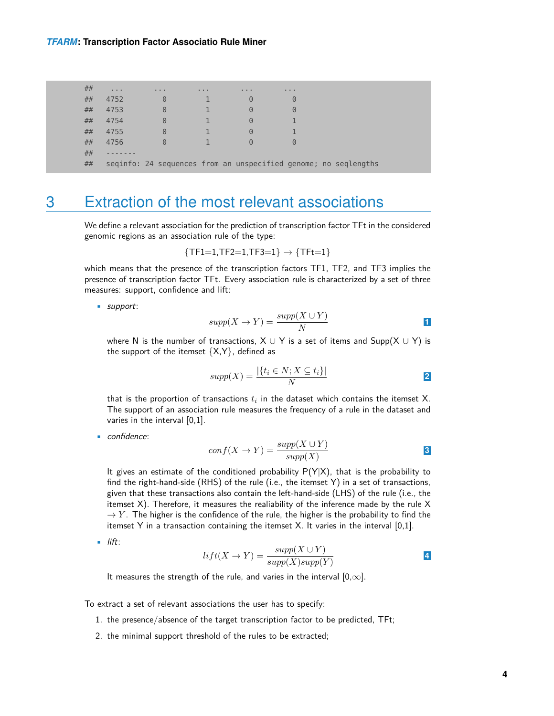| ## | $\alpha = 0.1$ | $\sim$ 10 $\sim$ 10 $\sim$                                      | $\sim$ 10 $\sim$ 10 $\sim$ | $\sim$ 10 $\sim$ 10 $\sim$ | $\cdots$ |  |
|----|----------------|-----------------------------------------------------------------|----------------------------|----------------------------|----------|--|
| ## | 4752           | 0                                                               |                            | 0                          | $\Theta$ |  |
| ## | 4753           | 0                                                               |                            | $\Theta$                   | $\Theta$ |  |
| ## | 4754           | $\Theta$                                                        |                            | $\Theta$                   |          |  |
| ## | 4755           | 0                                                               |                            | $\Theta$                   |          |  |
| ## | 4756           | $\Theta$                                                        |                            | $\Theta$                   | $\Theta$ |  |
| ## |                |                                                                 |                            |                            |          |  |
| ## |                | seginfo: 24 sequences from an unspecified genome; no seglengths |                            |                            |          |  |

### <span id="page-3-0"></span>3 Extraction of the most relevant associations

We define a relevant association for the prediction of transcription factor TFt in the considered genomic regions as an association rule of the type:

$$
\{TF1=1, TF2=1, TF3=1\} \rightarrow \{TFt=1\}
$$

which means that the presence of the transcription factors TF1, TF2, and TF3 implies the presence of transcription factor TFt. Every association rule is characterized by a set of three measures: support, confidence and lift:

• support:

$$
supp(X \to Y) = \frac{supp(X \cup Y)}{N}
$$

where N is the number of transactions,  $X \cup Y$  is a set of items and  $\text{Supp}(X \cup Y)$  is the support of the itemset  ${X,Y}$ , defined as

$$
supp(X) = \frac{|\{t_i \in N; X \subseteq t_i\}|}{N}
$$

that is the proportion of transactions  $t_i$  in the dataset which contains the itemset X. The support of an association rule measures the frequency of a rule in the dataset and varies in the interval [0,1].

• confidence:

$$
conf(X \to Y) = \frac{supp(X \cup Y)}{supp(X)}
$$

It gives an estimate of the conditioned probability  $P(Y|X)$ , that is the probability to find the right-hand-side (RHS) of the rule (i.e., the itemset Y) in a set of transactions, given that these transactions also contain the left-hand-side (LHS) of the rule (i.e., the itemset X). Therefore, it measures the realiability of the inference made by the rule X  $\rightarrow$  Y. The higher is the confidence of the rule, the higher is the probability to find the itemset Y in a transaction containing the itemset X. It varies in the interval [0,1].

• lift:

$$
lift(X \to Y) = \frac{supp(X \cup Y)}{supp(X)supp(Y)}
$$

It measures the strength of the rule, and varies in the interval  $[0,\infty]$ .

To extract a set of relevant associations the user has to specify:

- 1. the presence/absence of the target transcription factor to be predicted, TFt;
- 2. the minimal support threshold of the rules to be extracted;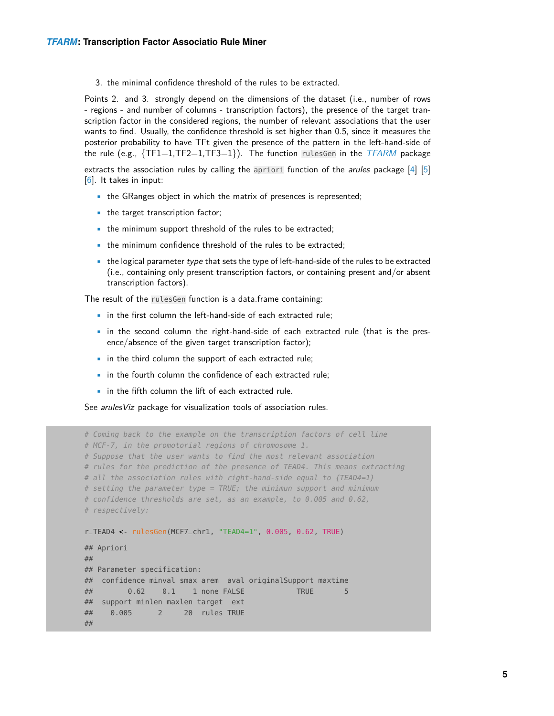3. the minimal confidence threshold of the rules to be extracted.

Points 2. and 3. strongly depend on the dimensions of the dataset (i.e., number of rows - regions - and number of columns - transcription factors), the presence of the target transcription factor in the considered regions, the number of relevant associations that the user wants to find. Usually, the confidence threshold is set higher than 0.5, since it measures the posterior probability to have TFt given the presence of the pattern in the left-hand-side of the rule (e.g.,  $\{TF1=1, TF2=1, TF3=1\}$ ). The function rulesGen in the  $TFARM$  package

extracts the association rules by calling the apriori function of the *arules* package  $[4]$  [\[5\]](#page-21-4) [\[6\]](#page-21-5). It takes in input:

- the GRanges object in which the matrix of presences is represented;
- the target transcription factor;
- the minimum support threshold of the rules to be extracted;
- the minimum confidence threshold of the rules to be extracted;
- $\bullet$  the logical parameter type that sets the type of left-hand-side of the rules to be extracted (i.e., containing only present transcription factors, or containing present and/or absent transcription factors).

The result of the rulesGen function is a data.frame containing:

- in the first column the left-hand-side of each extracted rule:
- in the second column the right-hand-side of each extracted rule (that is the presence/absence of the given target transcription factor);
- in the third column the support of each extracted rule;
- in the fourth column the confidence of each extracted rule:
- in the fifth column the lift of each extracted rule.

See arulesViz package for visualization tools of association rules.

```
# Coming back to the example on the transcription factors of cell line
# MCF-7, in the promotorial regions of chromosome 1.
# Suppose that the user wants to find the most relevant association
# rules for the prediction of the presence of TEAD4. This means extracting
# all the association rules with right-hand-side equal to {TEAD4=1}
# setting the parameter type = TRUE; the minimun support and minimum
# confidence thresholds are set, as an example, to 0.005 and 0.62,
# respectively:
r_TEAD4 <- rulesGen(MCF7_chr1, "TEAD4=1", 0.005, 0.62, TRUE)
## Apriori
##
## Parameter specification:
## confidence minval smax arem aval originalSupport maxtime
## 0.62 0.1 1 none FALSE TRUE 5
## support minlen maxlen target ext
## 0.005 2 20 rules TRUE
##
```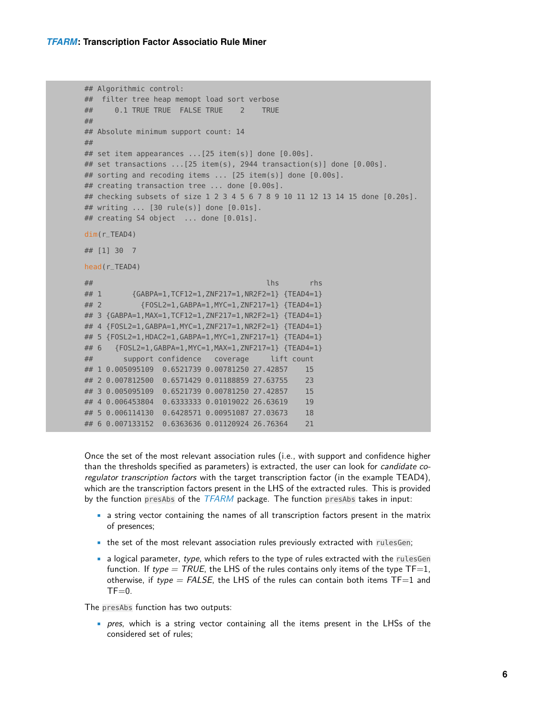```
## Algorithmic control:
## filter tree heap memopt load sort verbose
## 0.1 TRUE TRUE FALSE TRUE 2 TRUE
##
## Absolute minimum support count: 14
##
## set item appearances ...[25 item(s)] done [0.00s].
## set transactions ...[25 item(s), 2944 transaction(s)] done [0.00s].
## sorting and recoding items ... [25 item(s)] done [0.00s].
## creating transaction tree ... done [0.00s].
## checking subsets of size 1 2 3 4 5 6 7 8 9 10 11 12 13 14 15 done [0.20s].
## writing ... [30 rule(s)] done [0.01s].
## creating S4 object ... done [0.01s].
dim(r_TEAD4)
## [1] 30 7
head(r_TEAD4)
## lhs rhs
## 1 {GABPA=1,TCF12=1,ZNF217=1,NR2F2=1} {TEAD4=1}
## 2 {FOSL2=1,GABPA=1,MYC=1,ZNF217=1} {TEAD4=1}
## 3 {GABPA=1,MAX=1,TCF12=1,ZNF217=1,NR2F2=1} {TEAD4=1}
## 4 {FOSL2=1,GABPA=1,MYC=1,ZNF217=1,NR2F2=1} {TEAD4=1}
## 5 {FOSL2=1,HDAC2=1,GABPA=1,MYC=1,ZNF217=1} {TEAD4=1}
## 6 {FOSL2=1,GABPA=1,MYC=1,MAX=1,ZNF217=1} {TEAD4=1}
## support confidence coverage lift count
## 1 0.005095109 0.6521739 0.00781250 27.42857 15
## 2 0.007812500 0.6571429 0.01188859 27.63755 23
## 3 0.005095109 0.6521739 0.00781250 27.42857 15
## 4 0.006453804 0.6333333 0.01019022 26.63619 19
## 5 0.006114130 0.6428571 0.00951087 27.03673 18
## 6 0.007133152 0.6363636 0.01120924 26.76364 21
```
Once the set of the most relevant association rules (i.e., with support and confidence higher than the thresholds specified as parameters) is extracted, the user can look for *candidate co*regulator transcription factors with the target transcription factor (in the example TEAD4), which are the transcription factors present in the LHS of the extracted rules. This is provided by the function presAbs of the  $TFARM$  package. The function presAbs takes in input:

- a string vector containing the names of all transcription factors present in the matrix of presences;
- the set of the most relevant association rules previously extracted with rulesGen;
- $\bullet$  a logical parameter, type, which refers to the type of rules extracted with the rules Gen function. If type  $=$  TRUE, the LHS of the rules contains only items of the type TF=1, otherwise, if type =  $FALSE$ , the LHS of the rules can contain both items TF=1 and  $TF=0$ .

The presAbs function has two outputs:

• pres, which is a string vector containing all the items present in the LHSs of the considered set of rules;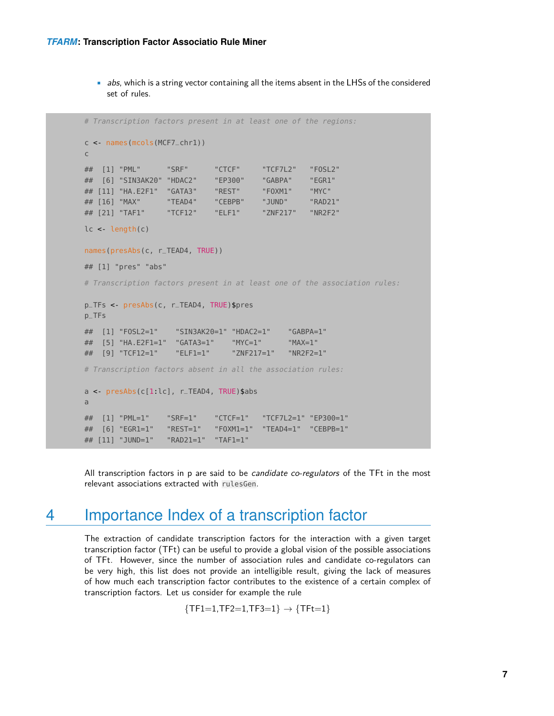• abs, which is a string vector containing all the items absent in the LHSs of the considered set of rules.

```
# Transcription factors present in at least one of the regions:
c <- names(mcols(MCF7_chr1))
c
## [1] "PML" "SRF" "CTCF" "TCF7L2" "FOSL2"
## [6] "SIN3AK20" "HDAC2" "EP300" "GABPA" "EGR1"
## [11] "HA.E2F1" "GATA3" "REST" "FOXM1" "MYC"
## [16] "MAX" "TEAD4" "CEBPB" "JUND" "RAD21"
## [21] "TAF1" "TCF12" "ELF1" "ZNF217" "NR2F2"
lc <- length(c)
names(presAbs(c, r_TEAD4, TRUE))
## [1] "pres" "abs"
# Transcription factors present in at least one of the association rules:
p_TFs <- presAbs(c, r_TEAD4, TRUE)$pres
p_TFs
## [1] "FOSL2=1" "SIN3AK20=1" "HDAC2=1" "GABPA=1"
## [5] "HA.E2F1=1" "GATA3=1" "MYC=1" "MAX=1"
## [9] "TCF12=1" "ELF1=1" "ZNF217=1" "NR2F2=1"
# Transcription factors absent in all the association rules:
a <- presAbs(c[1:lc], r_TEAD4, TRUE)$abs
a
## [1] "PML=1" "SRF=1" "CTCF=1" "TCF7L2=1" "EP300=1"
## [6] "EGR1=1" "REST=1" "FOXM1=1" "TEAD4=1" "CEBPB=1"
## [11] "JUND=1" "RAD21=1" "TAF1=1"
```
<span id="page-6-0"></span>All transcription factors in p are said to be *candidate co-regulators* of the TFt in the most relevant associations extracted with rulesGen.

### 4 Importance Index of a transcription factor

The extraction of candidate transcription factors for the interaction with a given target transcription factor (TFt) can be useful to provide a global vision of the possible associations of TFt. However, since the number of association rules and candidate co-regulators can be very high, this list does not provide an intelligible result, giving the lack of measures of how much each transcription factor contributes to the existence of a certain complex of transcription factors. Let us consider for example the rule

 ${TF1=1, TF2=1, TF3=1}$   $\rightarrow {TFt=1}$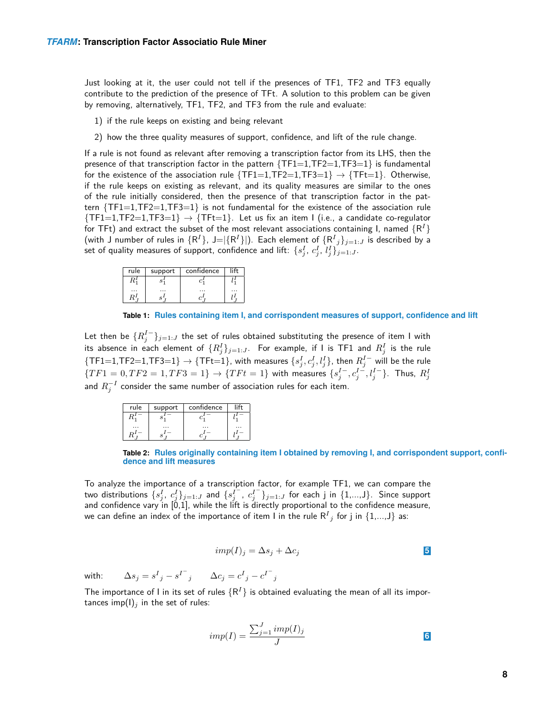Just looking at it, the user could not tell if the presences of TF1, TF2 and TF3 equally contribute to the prediction of the presence of TFt. A solution to this problem can be given by removing, alternatively, TF1, TF2, and TF3 from the rule and evaluate:

- 1) if the rule keeps on existing and being relevant
- 2) how the three quality measures of support, confidence, and lift of the rule change.

If a rule is not found as relevant after removing a transcription factor from its LHS, then the presence of that transcription factor in the pattern  $\{TF1=1,TF2=1,TF3=1\}$  is fundamental for the existence of the association rule  $\{TF1=1,TF2=1,TF3=1\}$   $\rightarrow \{TFt=1\}$ . Otherwise, if the rule keeps on existing as relevant, and its quality measures are similar to the ones of the rule initially considered, then the presence of that transcription factor in the pattern  $\{TF1=1, TF2=1, TF3=1\}$  is not fundamental for the existence of the association rule  $\{TF1=1,TF2=1,TF3=1\}$   $\rightarrow$   $\{TFt=1\}$ . Let us fix an item I (i.e., a candidate co-regulator for TFt) and extract the subset of the most relevant associations containing I, named  ${R<sup>1</sup>}$ (with J number of rules in  $\{{\sf R}^I\}$ , J $=|\{{\sf R}^I\}|$ ). Each element of  $\{{\sf R}^I{}_j\}_{j=1:J}$  is described by a set of quality measures of support, confidence and lift:  $\{s_j^I, \, c_j^I, \, l_j^I\}_{j=1:J}.$ 

<span id="page-7-0"></span>

| rule | support | confidence |  |
|------|---------|------------|--|
|      |         |            |  |
|      |         |            |  |

**Table 1: Rules containing item I, and corrispondent measures of support, confidence and lift**

Let then be  $\{R_j^{I-}\}_{j=1:J}$  the set of rules obtained substituting the presence of item I with its absence in each element of  $\{R_j^I\}_{j=1:J}$ . For example, if I is TF1 and  $R_j^I$  is the rule  $\{\textsf{TF1=}1,\textsf{TF2}=1,\textsf{TF3}=1\}\rightarrow \{\textsf{TF}t=1\},$  with measures  $\{s_j^I,c_j^I,l_j^I\},$  then  $R_j^{I-}$  will be the rule  $\{TF1=0,TF2=1,TF3=1\} \rightarrow \{TFt=1\}$  with measures  $\{s^{I-}_j, c^{I-}_j, l^{I-}_j\}$ . Thus,  $R^I_j$ and  $R_j^{-I}$  consider the same number of association rules for each item.

<span id="page-7-1"></span>

| rule | support | confidence |  |
|------|---------|------------|--|
|      |         |            |  |
|      |         |            |  |

**Table 2: Rules originally containing item I obtained by removing I, and corrispondent support, confidence and lift measures**

<span id="page-7-2"></span>To analyze the importance of a transcription factor, for example TF1, we can compare the two distributions  $\{s_j^I,~c_j^I\}_{j=1:J}$  and  $\{s_j^{I^-},~c_j^{I^-}\}_{j=1:J}$  for each  ${\tt j}$  in  $\{1,...,{\tt J}\}.$  Since support and confidence vary in [0,1], while the lift is directly proportional to the confidence measure, we can define an index of the importance of item I in the rule  $\mathsf{R}^I{}_j$  for  $\mathsf j$  in  $\{1,...,\mathsf{J}\}$  as:

$$
imp(I)_j = \Delta s_j + \Delta c_j
$$

with:  $\Delta s_j = s^I{}_j - s^{I^-}{}_j$   $\Delta c_j = c^I{}_j - c^{I^-}{}_j$ 

The importance of I in its set of rules  $\{R^I\}$  is obtained evaluating the mean of all its importances imp(I)<sub>i</sub> in the set of rules:

$$
imp(I) = \frac{\sum_{j=1}^{J} imp(I)_j}{J}
$$
6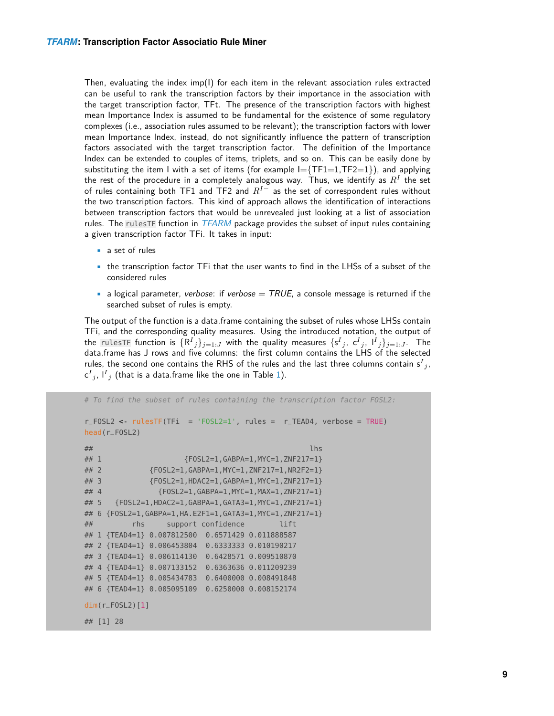Then, evaluating the index  $imp(1)$  for each item in the relevant association rules extracted can be useful to rank the transcription factors by their importance in the association with the target transcription factor, TFt. The presence of the transcription factors with highest mean Importance Index is assumed to be fundamental for the existence of some regulatory complexes (i.e., association rules assumed to be relevant); the transcription factors with lower mean Importance Index, instead, do not significantly influence the pattern of transcription factors associated with the target transcription factor. The definition of the Importance Index can be extended to couples of items, triplets, and so on. This can be easily done by substituting the item I with a set of items (for example  $I = \{TF1=1,TF2=1\}$ ), and applying the rest of the procedure in a completely analogous way. Thus, we identify as  $R^I$  the set of rules containing both TF1 and TF2 and  $R^{I-}$  as the set of correspondent rules without the two transcription factors. This kind of approach allows the identification of interactions between transcription factors that would be unrevealed just looking at a list of association rules. The rulesTF function in  $TFARM$  package provides the subset of input rules containing a given transcription factor TFi. It takes in input:

- a set of rules
- the transcription factor TFi that the user wants to find in the LHSs of a subset of the considered rules
- a logical parameter, verbose: if verbose  $= TRUE$ , a console message is returned if the searched subset of rules is empty.

The output of the function is a data.frame containing the subset of rules whose LHSs contain TFi, and the corresponding quality measures. Using the introduced notation, the output of the rulesTF function is  $\{{\sf R}^I{}_j\}_{j=1:J}$  with the quality measures  $\{{\sf s}^I{}_j,~{\sf c}^I{}_j,~{\sf I}^I{}_j\}_{j=1:J}$ . The data.frame has J rows and five columns: the first column contains the LHS of the selected rules, the second one contains the RHS of the rules and the last three columns contain s ${}^I{}_j,$ c $^{I}{}_{j}$ , l $^{I}{}_{j}$  (that is a data.frame like the one in Table [1\)](#page-7-0).

```
# To find the subset of rules containing the transcription factor FOSL2:
r_FOSL2 <- rulesTF(TFi = 'FOSL2=1', rules = r_TEAD4, verbose = TRUE)
head(r_FOSL2)
\## lhs \qquad lhs \qquad lhs \qquad lhs \qquad lhs \qquad lhs \qquad## 1 {FOSL2=1,GABPA=1,MYC=1,ZNF217=1}
## 2 {FOSL2=1,GABPA=1,MYC=1,ZNF217=1,NR2F2=1}
## 3 {FOSL2=1,HDAC2=1,GABPA=1,MYC=1,ZNF217=1}
## 4 {FOSL2=1,GABPA=1,MYC=1,MAX=1,ZNF217=1}
## 5 {FOSL2=1,HDAC2=1,GABPA=1,GATA3=1,MYC=1,ZNF217=1}
## 6 {FOSL2=1,GABPA=1,HA.E2F1=1,GATA3=1,MYC=1,ZNF217=1}
## rhs support confidence lift
## 1 {TEAD4=1} 0.007812500 0.6571429 0.011888587
## 2 {TEAD4=1} 0.006453804 0.6333333 0.010190217
## 3 {TEAD4=1} 0.006114130 0.6428571 0.009510870
## 4 {TEAD4=1} 0.007133152 0.6363636 0.011209239
## 5 {TEAD4=1} 0.005434783 0.6400000 0.008491848
## 6 {TEAD4=1} 0.005095109 0.6250000 0.008152174
dim(r_FOSL2)[1]
## [1] 28
```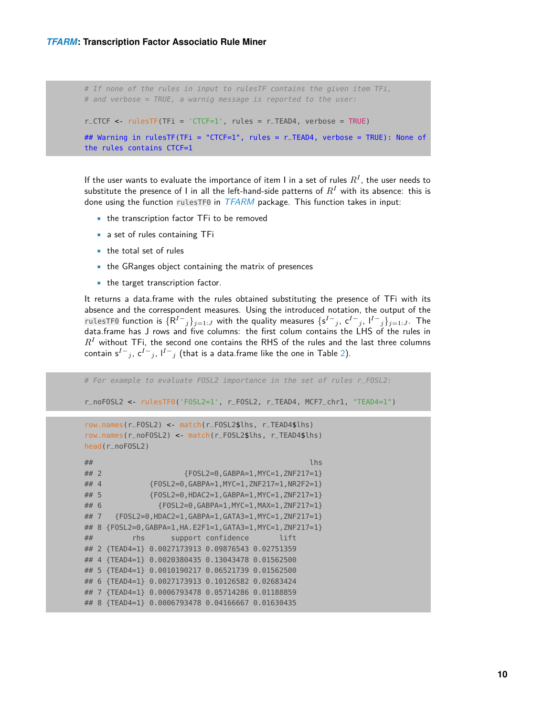```
# If none of the rules in input to rulesTF contains the given item TFi,
# and verbose = TRUE, a warnig message is reported to the user:
r_CCTCF <- rulesTF(TFi = 'CTCF=1', rules = r_CTEAD4, verbose = TRUE)
## Warning in rulesTF(TFi = "CTCF=1", rules = r_TEAD4, verbose = TRUE): None of
the rules contains CTCF=1
```
If the user wants to evaluate the importance of item I in a set of rules  $R^I$ , the user needs to substitute the presence of I in all the left-hand-side patterns of  $R<sup>I</sup>$  with its absence: this is done using the function rulesTF0 in [TFARM](http://bioconductor.org/packages/TFARM) package. This function takes in input:

- the transcription factor TFi to be removed
- a set of rules containing TFi
- the total set of rules
- the GRanges object containing the matrix of presences
- the target transcription factor.

It returns a data.frame with the rules obtained substituting the presence of TFi with its absence and the correspondent measures. Using the introduced notation, the output of the rulesTF0 function is  $\{R^{I-1}\}_{j=1:J}$  with the quality measures  $\{S^{I-1},S^{I-1},S^{I-1}\}_{j=1:J}$ . The data.frame has J rows and five columns: the first colum contains the LHS of the rules in  $R<sup>I</sup>$  without TFi, the second one contains the RHS of the rules and the last three columns contain s $^{I-}$ j, c $^{I-}$ j, l $^{I-}$ j (that is a data.frame like the one in Table [2\)](#page-7-1).

```
# For example to evaluate FOSL2 importance in the set of rules r_FOSL2:
r_noFOSL2 <- rulesTF0('FOSL2=1', r_FOSL2, r_TEAD4, MCF7_chr1, "TEAD4=1")
row.names(r_FOSL2) <- match(r_FOSL2$lhs, r_TEAD4$lhs)
row.names(r_noFOSL2) <- match(r_FOSL2$lhs, r_TEAD4$lhs)
head(r_noFOSL2)
\## lhs \qquad lhs \qquad lhs \qquad lhs \qquad lhs \qquad lhs \qquad## 2 {FOSL2=0,GABPA=1,MYC=1,ZNF217=1}
## 4 {FOSL2=0,GABPA=1,MYC=1,ZNF217=1,NR2F2=1}
## 5 {FOSL2=0,HDAC2=1,GABPA=1,MYC=1,ZNF217=1}
## 6 {FOSL2=0,GABPA=1,MYC=1,MAX=1,ZNF217=1}
## 7 {FOSL2=0, HDAC2=1, GABPA=1, GATA3=1, MYC=1, ZNF217=1}
## 8 {FOSL2=0,GABPA=1,HA.E2F1=1,GATA3=1,MYC=1,ZNF217=1}
## rhs support confidence lift
## 2 {TEAD4=1} 0.0027173913 0.09876543 0.02751359
## 4 {TEAD4=1} 0.0020380435 0.13043478 0.01562500
## 5 {TEAD4=1} 0.0010190217 0.06521739 0.01562500
## 6 {TEAD4=1} 0.0027173913 0.10126582 0.02683424
## 7 {TEAD4=1} 0.0006793478 0.05714286 0.01188859
## 8 {TEAD4=1} 0.0006793478 0.04166667 0.01630435
```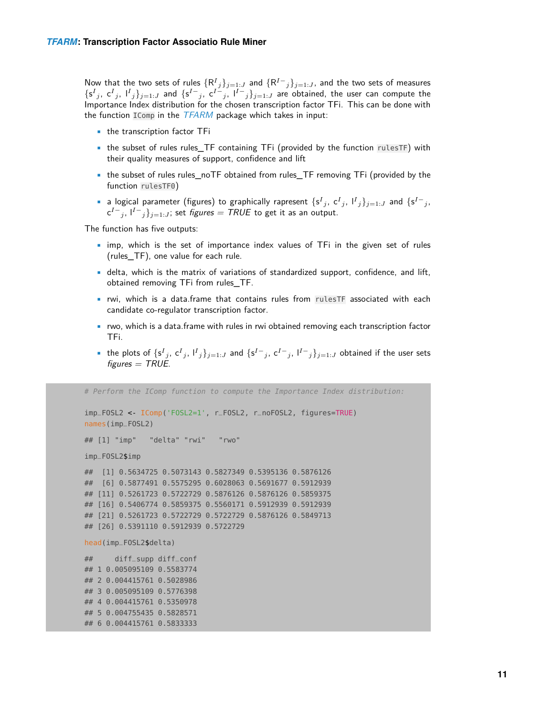Now that the two sets of rules  $\{{\sf R}^I{}_j\}_{j=1:J}$  and  $\{{\sf R}^{I-}{}_j\}_{j=1:J}$ , and the two sets of measures  $\{s^I{}_j, c^I{}_j, l^I{}_j\}_{j=1:J}$  and  $\{s^{I-}, s c^{I-}, l^I{}_j\}_{j=1:J}$  are obtained, the user can compute the Importance Index distribution for the chosen transcription factor TFi. This can be done with the function  $IComp$  in the  $TFARM$  package which takes in input:

- the transcription factor TFi
- the subset of rules rules TF containing TFi (provided by the function rulesTF) with their quality measures of support, confidence and lift
- the subset of rules rules\_noTF obtained from rules\_TF removing TFi (provided by the function rulesTF0)
- a logical parameter (figures) to graphically rapresent  $\{s^I{}_j, c^I{}_j, l^I{}_j\}_{j=1:J}$  and  $\{s^I{}_j,$  ${\sf c}^{I-}{}_{j},$   ${\sf l}^{I-}{}_{j}\}_{j=1:J}$ ; set *figures = TRUE* to get it as an output.

The function has five outputs:

- imp, which is the set of importance index values of TFi in the given set of rules (rules\_TF), one value for each rule.
- delta, which is the matrix of variations of standardized support, confidence, and lift, obtained removing TFi from rules\_TF.
- rwi, which is a data.frame that contains rules from rulesTF associated with each candidate co-regulator transcription factor.
- rwo, which is a data.frame with rules in rwi obtained removing each transcription factor TFi.
- the plots of  $\{s^I{}_j, c^I{}_j, l^I{}_j\}_{j=1:J}$  and  $\{s^{I-}_j, c^{I-}_j, l^{I-}_j\}_{j=1:J}$  obtained if the user sets  $figures = TRUE$ .

```
# Perform the IComp function to compute the Importance Index distribution:
imp_FOSL2 <- IComp('FOSL2=1', r_FOSL2, r_noFOSL2, figures=TRUE)
names(imp_FOSL2)
## [1] "imp" "delta" "rwi" "rwo"
imp_FOSL2$imp
## [1] 0.5634725 0.5073143 0.5827349 0.5395136 0.5876126
## [6] 0.5877491 0.5575295 0.6028063 0.5691677 0.5912939
## [11] 0.5261723 0.5722729 0.5876126 0.5876126 0.5859375
## [16] 0.5406774 0.5859375 0.5560171 0.5912939 0.5912939
## [21] 0.5261723 0.5722729 0.5722729 0.5876126 0.5849713
## [26] 0.5391110 0.5912939 0.5722729
head(imp_FOSL2$delta)
## diff_supp diff_conf
## 1 0.005095109 0.5583774
## 2 0.004415761 0.5028986
## 3 0.005095109 0.5776398
## 4 0.004415761 0.5350978
## 5 0.004755435 0.5828571
## 6 0.004415761 0.5833333
```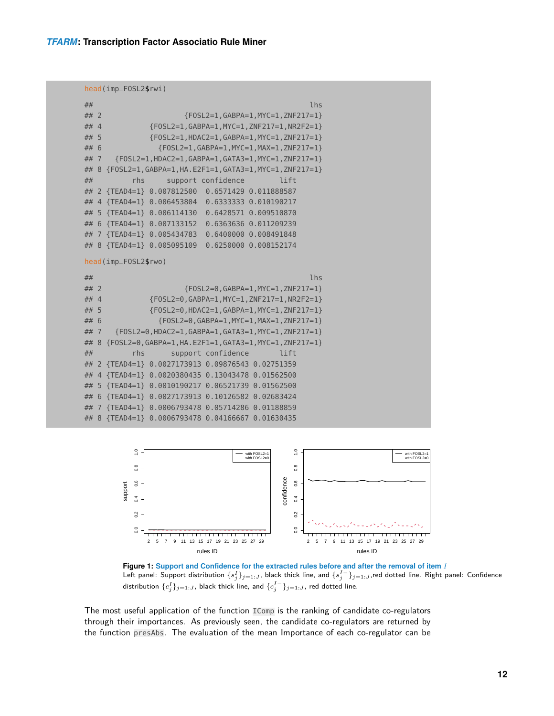```
head(imp_FOSL2$rwi)
```

| ##     |                      |                                                   | lhs                                                           |  |
|--------|----------------------|---------------------------------------------------|---------------------------------------------------------------|--|
| $##$ 2 |                      |                                                   | {FOSL2=1, GABPA=1, MYC=1, ZNF217=1}                           |  |
| ## 4   |                      |                                                   | {FOSL2=1, GABPA=1, MYC=1, ZNF217=1, NR2F2=1}                  |  |
| ## 5   |                      |                                                   | {FOSL2=1, HDAC2=1, GABPA=1, MYC=1, ZNF217=1}                  |  |
| ## 6   |                      |                                                   | {FOSL2=1, GABPA=1, MYC=1, MAX=1, ZNF217=1}                    |  |
| ## 7   |                      |                                                   | {FOSL2=1, HDAC2=1, GABPA=1, GATA3=1, MYC=1, ZNF217=1}         |  |
|        |                      |                                                   | ## 8 {FOSL2=1, GABPA=1, HA. E2F1=1, GATA3=1, MYC=1, ZNF217=1} |  |
| ##     | rhs                  | support confidence                                | lift                                                          |  |
|        |                      | ## 2 {TEAD4=1} 0.007812500 0.6571429 0.011888587  |                                                               |  |
|        |                      | ## 4 {TEAD4=1} 0.006453804 0.6333333 0.010190217  |                                                               |  |
|        |                      | ## 5 {TEAD4=1} 0.006114130 0.6428571 0.009510870  |                                                               |  |
|        |                      | ## 6 {TEAD4=1} 0.007133152 0.6363636 0.011209239  |                                                               |  |
|        |                      | ## 7 {TEAD4=1} 0.005434783 0.6400000 0.008491848  |                                                               |  |
|        |                      | ## 8 {TEAD4=1} 0.005095109 0.6250000 0.008152174  |                                                               |  |
|        | head(imp_F0SL2\$rwo) |                                                   |                                                               |  |
|        |                      |                                                   |                                                               |  |
| ##     |                      |                                                   | lhs                                                           |  |
| $##$ 2 |                      |                                                   | ${FOSL2=0, GABPA=1, MYC=1, ZNF217=1}$                         |  |
| $##$ 4 |                      |                                                   | {FOSL2=0, GABPA=1, MYC=1, ZNF217=1, NR2F2=1}                  |  |
| ## 5   |                      |                                                   | ${FOSL2=0, HDAC2=1, GABPA=1, MYC=1, ZNF217=1}$                |  |
| ## 6   |                      |                                                   | ${FOSL2=0.GABPA=1.MYC=1.MAX=1.ZNF217=1}$                      |  |
| ## 7   |                      |                                                   | {FOSL2=0, HDAC2=1, GABPA=1, GATA3=1, MYC=1, ZNF217=1}         |  |
|        |                      |                                                   | ## 8 {FOSL2=0, GABPA=1, HA. E2F1=1, GATA3=1, MYC=1, ZNF217=1} |  |
| ##     | rhs                  | support confidence                                | lift                                                          |  |
|        |                      | ## 2 {TEAD4=1} 0.0027173913 0.09876543 0.02751359 |                                                               |  |
|        |                      | ## 4 {TEAD4=1} 0.0020380435 0.13043478 0.01562500 |                                                               |  |
|        |                      | ## 5 {TEAD4=1} 0.0010190217 0.06521739 0.01562500 |                                                               |  |
|        |                      | ## 6 {TEAD4=1} 0.0027173913 0.10126582 0.02683424 |                                                               |  |
|        |                      | ## 7 {TEAD4=1} 0.0006793478 0.05714286 0.01188859 |                                                               |  |
|        |                      | ## 8 {TEAD4=1} 0.0006793478 0.04166667 0.01630435 |                                                               |  |



**Figure 1: Support and Confidence for the extracted rules before and after the removal of item** I Left panel: Support distribution  $\{s_j^I\}_{j=1:J}$ , black thick line, and  $\{s_j^{I-}\}_{j=1:J}$ ,red dotted line. Right panel: Confidence distribution  $\{c^I_j\}_{j=1:J}$ , black thick line, and  $\{c^{I-}_j\}_{j=1:J}$ , red dotted line.

The most useful application of the function IComp is the ranking of candidate co-regulators through their importances. As previously seen, the candidate co-regulators are returned by the function presAbs. The evaluation of the mean Importance of each co-regulator can be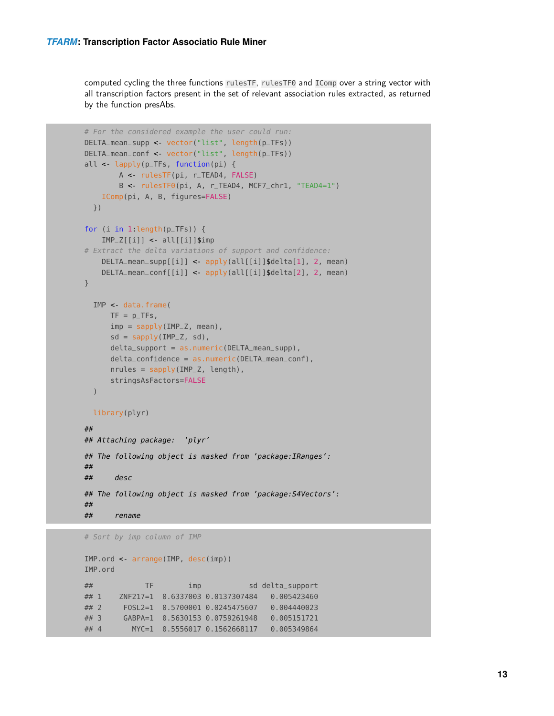computed cycling the three functions rulesTF, rulesTF0 and IComp over a string vector with all transcription factors present in the set of relevant association rules extracted, as returned by the function presAbs.

```
# For the considered example the user could run:
DELTA_mean_supp <- vector("list", length(p_TFs))
DELTA_mean_conf <- vector("list", length(p_TFs))
all < lapply(p_TFs, function(pi) {
       A <- rulesTF(pi, r_TEAD4, FALSE)
        B <- rulesTF0(pi, A, r_TEAD4, MCF7_chr1, "TEAD4=1")
    IComp(pi, A, B, figures=FALSE)
 })
for (i in 1 length(p_TFs)) {
    IMP_Z[[i]] <- all[[i]]$imp
# Extract the delta variations of support and confidence:
    DELTA_mean_supp[[i]] <- apply(all[[i]]$delta[1], 2, mean)
    DELTA_mean_conf[[i]] <- apply(all[[i]]$delta[2], 2, mean)
}
  IMP <- data.frame(
     TF = p_TFs,
      imp = sapply(IMP_Z, mean),
      sd = sapply(IMP_Z, sd),
      delta_support = as.numeric(DELTA_mean_supp),
     delta_confidence = as.numeric(DELTA_mean_conf),
     nrules = sapply(IMP_Z, length),
      stringsAsFactors=FALSE
  )
  library(plyr)
##
## Attaching package: 'plyr'
## The following object is masked from 'package:IRanges':
##
## desc
## The following object is masked from 'package:S4Vectors':
##
## rename
```

```
# Sort by imp column of IMP
```

```
IMP.ord <- arrange(IMP, desc(imp))
IMP.ord
## TF imp sd delta_support
## 1 ZNF217=1 0.6337003 0.0137307484 0.005423460
## 2 FOSL2=1 0.5700001 0.0245475607 0.004440023
## 3 GABPA=1 0.5630153 0.0759261948 0.005151721
## 4 MYC=1 0.5556017 0.1562668117 0.005349864
```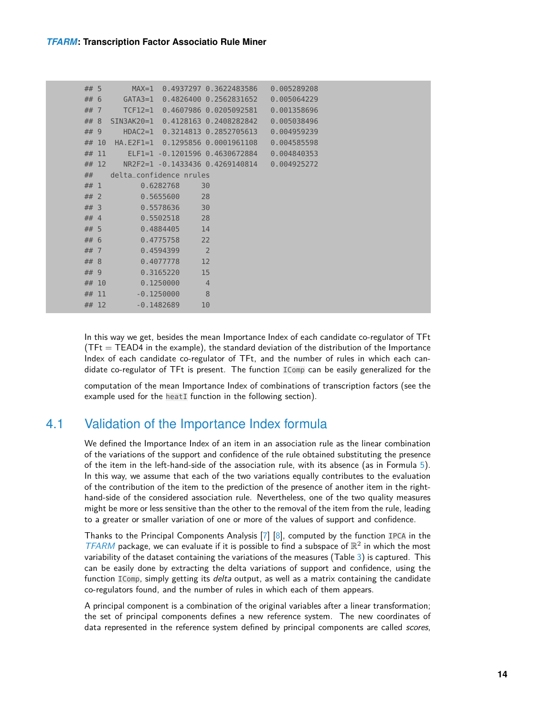| ## 5   |         | $MAX=1$                 |                        | $0.4937297$ $0.3622483586$                    | 0.005289208 |
|--------|---------|-------------------------|------------------------|-----------------------------------------------|-------------|
| ## 6   |         |                         |                        | GATA3=1 0.4826400 0.2562831652 0.005064229    |             |
| $##$ 7 |         |                         |                        | TCF12=1 0.4607986 0.0205092581 0.001358696    |             |
| ## 8   |         |                         |                        | SIN3AK20=1 0.4128163 0.2408282842 0.005038496 |             |
| ## 9   |         |                         |                        | HDAC2=1 0.3214813 0.2852705613 0.004959239    |             |
|        | ## 10   |                         |                        | HA.E2F1=1 0.1295856 0.0001961108              | 0.004585598 |
|        | ## 11   |                         |                        | ELF1=1 -0.1201596 0.4630672884 0.004840353    |             |
|        | $##$ 12 |                         |                        | NR2F2=1 -0.1433436 0.4269140814 0.004925272   |             |
| ##     |         | delta confidence nrules |                        |                                               |             |
| ## 1   |         |                         | 0.6282768              | 30                                            |             |
| $##$ 2 |         |                         | 0.5655600              | 28                                            |             |
| $##$ 3 |         |                         | 0.5578636              | 30                                            |             |
| $##$ 4 |         |                         | 0.5502518<br>$\sim$ 28 |                                               |             |
| ## 5   |         |                         | 0.4884405              | 14                                            |             |
| ## 6   |         |                         | 0.4775758              | 22                                            |             |
| $##$ 7 |         |                         | 0.4594399              | $\overline{2}$                                |             |
| ## 8   |         |                         | 0.4077778              | 12                                            |             |
| ## 9   |         |                         | 0.3165220              | 15                                            |             |
|        | ## 10   |                         | 0.1250000              | $\overline{4}$                                |             |
|        | ## 11   |                         | $-0.1250000$           | 8                                             |             |
|        | ## 12   |                         | $-0.1482689$           | 10                                            |             |

In this way we get, besides the mean Importance Index of each candidate co-regulator of TFt  $(TFt = TEAD4$  in the example), the standard deviation of the distribution of the Importance Index of each candidate co-regulator of TFt, and the number of rules in which each candidate co-regulator of TFt is present. The function IComp can be easily generalized for the

<span id="page-13-0"></span>computation of the mean Importance Index of combinations of transcription factors (see the example used for the heatI function in the following section).

### 4.1 Validation of the Importance Index formula

We defined the Importance Index of an item in an association rule as the linear combination of the variations of the support and confidence of the rule obtained substituting the presence of the item in the left-hand-side of the association rule, with its absence (as in Formula [5\)](#page-7-2). In this way, we assume that each of the two variations equally contributes to the evaluation of the contribution of the item to the prediction of the presence of another item in the righthand-side of the considered association rule. Nevertheless, one of the two quality measures might be more or less sensitive than the other to the removal of the item from the rule, leading to a greater or smaller variation of one or more of the values of support and confidence.

Thanks to the Principal Components Analysis [\[7\]](#page-21-6) [\[8\]](#page-22-0), computed by the function IPCA in the  $TFARM$  package, we can evaluate if it is possible to find a subspace of  $\mathbb{R}^2$  in which the most variability of the dataset containing the variations of the measures (Table [3\)](#page-14-0) is captured. This can be easily done by extracting the delta variations of support and confidence, using the function IComp, simply getting its *delta* output, as well as a matrix containing the candidate co-regulators found, and the number of rules in which each of them appears.

A principal component is a combination of the original variables after a linear transformation; the set of principal components defines a new reference system. The new coordinates of data represented in the reference system defined by principal components are called scores,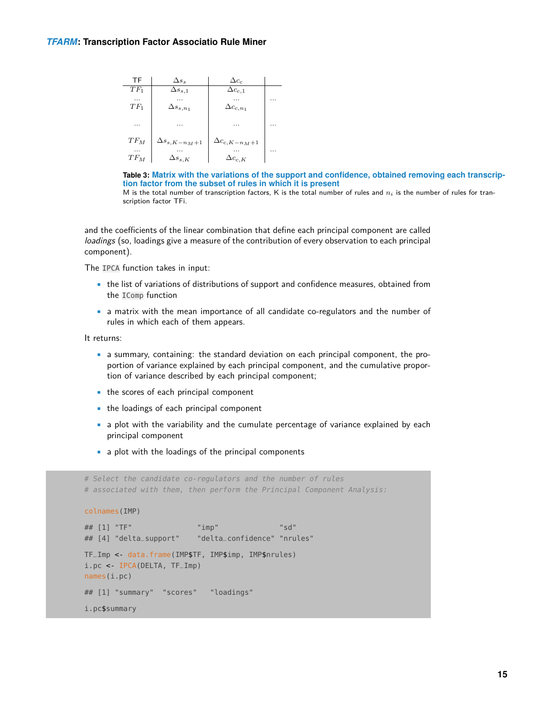<span id="page-14-0"></span>

| ΤF     | $\Delta s_s$           | $\Delta c_c$           |   |
|--------|------------------------|------------------------|---|
| $TF_1$ | $\Delta s_{s,1}$       | $\Delta c_{c,1}$       |   |
|        |                        |                        |   |
| $TF_1$ | $\Delta s_{s,n_1}$     | $\Delta c_{c,n_1}$     |   |
|        |                        |                        |   |
| .      | .                      | $\cdots$               | . |
| $TF_M$ | $\Delta s_{s,K-n_M+1}$ | $\Delta c_{c,K-n_M+1}$ |   |
|        |                        |                        |   |
| $TF_M$ | $\Delta s_{s,K}$       | $\Delta c_{c,K}$       |   |

**Table 3: Matrix with the variations of the support and confidence, obtained removing each transcription factor from the subset of rules in which it is present**

M is the total number of transcription factors, K is the total number of rules and  $n_i$  is the number of rules for transcription factor TFi.

and the coefficients of the linear combination that define each principal component are called loadings (so, loadings give a measure of the contribution of every observation to each principal component).

The IPCA function takes in input:

- the list of variations of distributions of support and confidence measures, obtained from the IComp function
- a matrix with the mean importance of all candidate co-regulators and the number of rules in which each of them appears.

It returns:

- a summary, containing: the standard deviation on each principal component, the proportion of variance explained by each principal component, and the cumulative proportion of variance described by each principal component;
- the scores of each principal component
- the loadings of each principal component
- a plot with the variability and the cumulate percentage of variance explained by each principal component
- a plot with the loadings of the principal components

```
# Select the candidate co-regulators and the number of rules
# associated with them, then perform the Principal Component Analysis:
colnames(IMP)
## [1] "TF" "imp" "sd"
## [4] "delta_support" "delta_confidence" "nrules"
TF_Imp <- data.frame(IMP$TF, IMP$imp, IMP$nrules)
i.pc <- IPCA(DELTA, TF_Imp)
names(i.pc)
## [1] "summary" "scores" "loadings"
i.pc$summary
```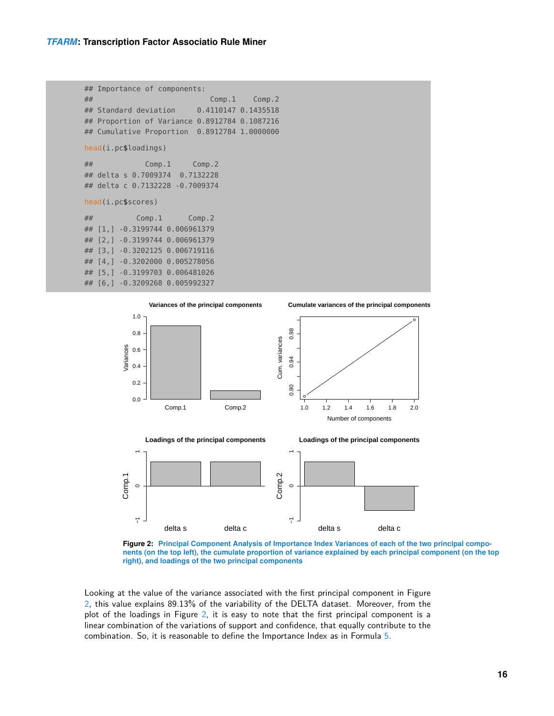```
## Importance of components:
## Comp.1 Comp.2
## Standard deviation 0.4110147 0.1435518
## Proportion of Variance 0.8912784 0.1087216
## Cumulative Proportion 0.8912784 1.0000000
head(i.pc$loadings)
## Comp.1 Comp.2
## delta s 0.7009374 0.7132228
## delta c 0.7132228 -0.7009374
head(i.pc$scores)
## Comp.1 Comp.2
## [1,] -0.3199744 0.006961379
## [2,] -0.3199744 0.006961379
## [3,] -0.3202125 0.006719116
## [4,] -0.3202000 0.005278056
## [5,] -0.3199703 0.006481026
## [6,] -0.3209268 0.005992327
```
<span id="page-15-1"></span>



**Figure 2: Principal Component Analysis of Importance Index Variances of each of the two principal components (on the top left), the cumulate proportion of variance explained by each principal component (on the top right), and loadings of the two principal components**

<span id="page-15-0"></span>Looking at the value of the variance associated with the first principal component in Figure [2,](#page-15-1) this value explains 89.13% of the variability of the DELTA dataset. Moreover, from the plot of the loadings in Figure [2,](#page-15-1) it is easy to note that the first principal component is a linear combination of the variations of support and confidence, that equally contribute to the combination. So, it is reasonable to define the Importance Index as in Formula [5.](#page-7-2)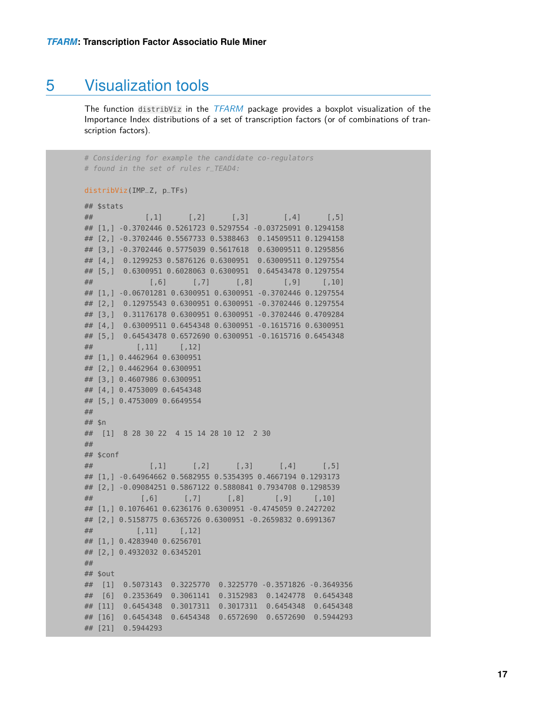### 5 Visualization tools

The function distribViz in the [TFARM](http://bioconductor.org/packages/TFARM) package provides a boxplot visualization of the Importance Index distributions of a set of transcription factors (or of combinations of transcription factors).

# Considering for example the candidate co-regulators # found in the set of rules r\_TEAD4: distribViz(IMP\_Z, p\_TFs) ## \$stats ## [,1] [,2] [,3] [,4] [,5] ## [1,] -0.3702446 0.5261723 0.5297554 -0.03725091 0.1294158 ## [2,] -0.3702446 0.5567733 0.5388463 0.14509511 0.1294158 ## [3,] -0.3702446 0.5775039 0.5617618 0.63009511 0.1295856 ## [4,] 0.1299253 0.5876126 0.6300951 0.63009511 0.1297554 ## [5,] 0.6300951 0.6028063 0.6300951 0.64543478 0.1297554 ## [,6] [,7] [,8] [,9] [,10] ## [1,] -0.06701281 0.6300951 0.6300951 -0.3702446 0.1297554 ## [2,] 0.12975543 0.6300951 0.6300951 -0.3702446 0.1297554 ## [3,] 0.31176178 0.6300951 0.6300951 -0.3702446 0.4709284 ## [4,] 0.63009511 0.6454348 0.6300951 -0.1615716 0.6300951 ## [5,] 0.64543478 0.6572690 0.6300951 -0.1615716 0.6454348 ## [,11] [,12] ## [1,] 0.4462964 0.6300951 ## [2,] 0.4462964 0.6300951 ## [3,] 0.4607986 0.6300951 ## [4,] 0.4753009 0.6454348 ## [5,] 0.4753009 0.6649554 ## ## \$n ## [1] 8 28 30 22 4 15 14 28 10 12 2 30 ## ## \$conf ## [,1] [,2] [,3] [,4] [,5] ## [1,] -0.64964662 0.5682955 0.5354395 0.4667194 0.1293173 ## [2,] -0.09084251 0.5867122 0.5880841 0.7934708 0.1298539 ## [,6] [,7] [,8] [,9] [,10] ## [1,] 0.1076461 0.6236176 0.6300951 -0.4745059 0.2427202 ## [2,] 0.5158775 0.6365726 0.6300951 -0.2659832 0.6991367 ## [,11] [,12]

## [1,] 0.4283940 0.6256701 ## [2,] 0.4932032 0.6345201 ## ## \$out ## [1] 0.5073143 0.3225770 0.3225770 -0.3571826 -0.3649356 ## [6] 0.2353649 0.3061141 0.3152983 0.1424778 0.6454348 ## [11] 0.6454348 0.3017311 0.3017311 0.6454348 0.6454348 ## [16] 0.6454348 0.6454348 0.6572690 0.6572690 0.5944293 ## [21] 0.5944293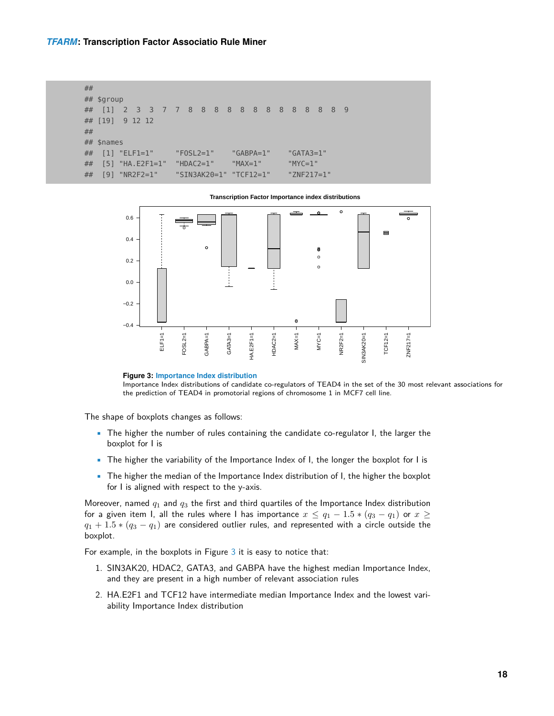#### *[TFARM](http://bioconductor.org/packages/TFARM)***: Transcription Factor Associatio Rule Miner**

```
##
## $group
## [1] 2 3 3 7 7 8 8 8 8 8 8 8 8 8 8 8 8 9
## [19] 9 12 12
##
## $names
## [1] "ELF1=1" "FOSL2=1" "GABPA=1" "GATA3=1"
## [5] "HA.E2F1=1" "HDAC2=1" "MAX=1" "MYC=1"
## [9] "NR2F2=1" "SIN3AK20=1" "TCF12=1" "ZNF217=1"
```
**Transcription Factor Importance index distributions**

<span id="page-17-0"></span>

**Figure 3: Importance Index distribution**

Importance Index distributions of candidate co-regulators of TEAD4 in the set of the 30 most relevant associations for the prediction of TEAD4 in promotorial regions of chromosome 1 in MCF7 cell line.

The shape of boxplots changes as follows:

- The higher the number of rules containing the candidate co-regulator I, the larger the boxplot for I is
- The higher the variability of the Importance Index of I, the longer the boxplot for I is
- The higher the median of the Importance Index distribution of I, the higher the boxplot for I is aligned with respect to the y-axis.

Moreover, named  $q_1$  and  $q_3$  the first and third quartiles of the Importance Index distribution for a given item I, all the rules where I has importance  $x \le q_1 - 1.5 * (q_3 - q_1)$  or  $x \ge$  $q_1 + 1.5 * (q_3 - q_1)$  are considered outlier rules, and represented with a circle outside the boxplot.

For example, in the boxplots in Figure [3](#page-17-0) it is easy to notice that:

- 1. SIN3AK20, HDAC2, GATA3, and GABPA have the highest median Importance Index, and they are present in a high number of relevant association rules
- 2. HA.E2F1 and TCF12 have intermediate median Importance Index and the lowest variability Importance Index distribution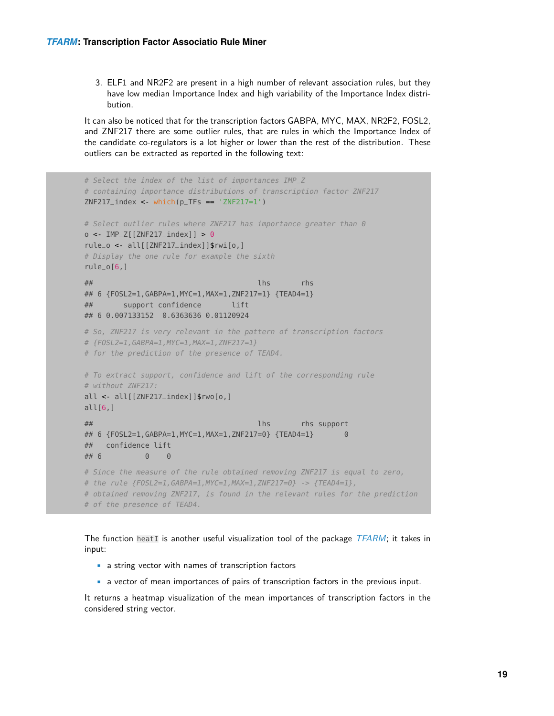3. ELF1 and NR2F2 are present in a high number of relevant association rules, but they have low median Importance Index and high variability of the Importance Index distribution.

It can also be noticed that for the transcription factors GABPA, MYC, MAX, NR2F2, FOSL2, and ZNF217 there are some outlier rules, that are rules in which the Importance Index of the candidate co-regulators is a lot higher or lower than the rest of the distribution. These outliers can be extracted as reported in the following text:

```
# Select the index of the list of importances IMP_Z
# containing importance distributions of transcription factor ZNF217
ZNF217_ index <- which(p_TFs == 'ZNF217=1')
# Select outlier rules where ZNF217 has importance greater than 0
o < IMP_Z[[ZNF217_index]] > 0
rule_o <- all[[ZNF217_index]]$rwi[o,]
# Display the one rule for example the sixth
rule_o[6,]
## lhs rhs
## 6 {FOSL2=1,GABPA=1,MYC=1,MAX=1,ZNF217=1} {TEAD4=1}
## support confidence lift
## 6 0.007133152 0.6363636 0.01120924
# So, ZNF217 is very relevant in the pattern of transcription factors
# {FOSL2=1,GABPA=1,MYC=1,MAX=1,ZNF217=1}
# for the prediction of the presence of TEAD4.
# To extract support, confidence and lift of the corresponding rule
# without ZNF217:
all <- all[[ZNF217_index]]$rwo[o,]
all[6,]## lhs rhs support
## 6 {FOSL2=1,GABPA=1,MYC=1,MAX=1,ZNF217=0} {TEAD4=1} 0
## confidence lift
## 6 0 0
# Since the measure of the rule obtained removing ZNF217 is equal to zero,
# the rule {FOSL2=1,GABPA=1,MYC=1,MAX=1,ZNF217=0} -> {TEAD4=1},
# obtained removing ZNF217, is found in the relevant rules for the prediction
# of the presence of TEAD4.
```
The function heatI is another useful visualization tool of the package  $TFARM$ ; it takes in input:

- a string vector with names of transcription factors
- a vector of mean importances of pairs of transcription factors in the previous input.

It returns a heatmap visualization of the mean importances of transcription factors in the considered string vector.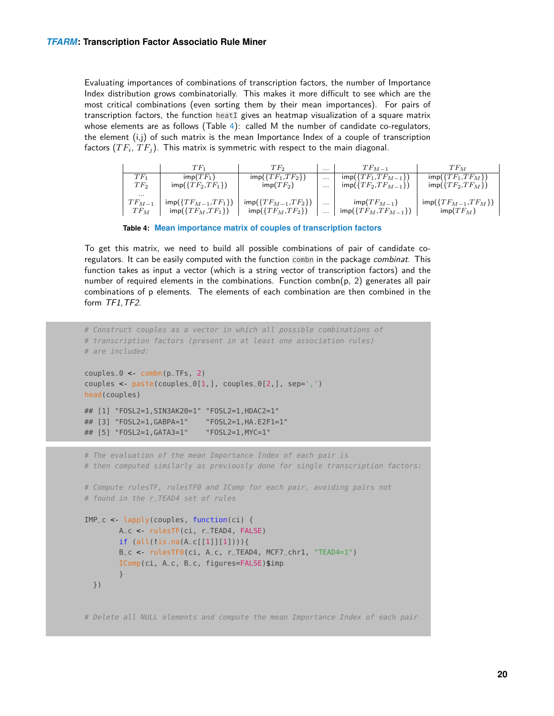Evaluating importances of combinations of transcription factors, the number of Importance Index distribution grows combinatorially. This makes it more difficult to see which are the most critical combinations (even sorting them by their mean importances). For pairs of transcription factors, the function heatI gives an heatmap visualization of a square matrix whose elements are as follows (Table [4\)](#page-19-0): called M the number of candidate co-regulators, the element  $(i,j)$  of such matrix is the mean Importance Index of a couple of transcription factors  $(TF_i, TF_j)$ . This matrix is symmetric with respect to the main diagonal.

<span id="page-19-0"></span>

|            | $TF_1$                            | TF2                               | $\cdots$ | $TF_{M=1}$                                       | $TF_M$                              |
|------------|-----------------------------------|-----------------------------------|----------|--------------------------------------------------|-------------------------------------|
| $TF_1$     | $\mathsf{imp}(TF_1)$              | $\textsf{imp}(\{TF_1,TF_2\})$     | $\cdots$ | $\textsf{imp}(\{TF_1,TF_{M-1}\})$                | $\textsf{imp}(\{TF_1,TF_M\})$       |
| $TF_2$     | $\textsf{imp}(\{TF_2, TF_1\})$    | $\mathsf{imp}(TF_2)$              | $\cdots$ | $\textsf{imp}(\{TF_2, TF_{M-1}\})$               | $\textsf{imp}(\{TF_2,TF_M\})$       |
| .          |                                   |                                   |          |                                                  |                                     |
| $TF_{M-1}$ | $\textsf{imp}(\{TF_{M-1},TF_1\})$ | $\textsf{imp}(\{TF_{M-1},TF_2\})$ | $\cdots$ | $\text{imp}(TF_{M-1})$                           | $\textsf{imp}(\{TF_{M-1},TF_{M}\})$ |
| $TF_M$     | $\textsf{imp}(\{TF_M, TF_1\})$    | $\mathsf{imp}(\{TF_M,TF_2\})$     | $\cdots$ | $\operatorname{\mathsf{imp}}(\{TF_M,TF_{M-1}\})$ | $\mathsf{imp}(TF_M)$                |

**Table 4: Mean importance matrix of couples of transcription factors**

To get this matrix, we need to build all possible combinations of pair of candidate coregulators. It can be easily computed with the function combn in the package combinat. This function takes as input a vector (which is a string vector of transcription factors) and the number of required elements in the combinations. Function combn( $p$ , 2) generates all pair combinations of p elements. The elements of each combination are then combined in the form TF1, TF2.

```
# Construct couples as a vector in which all possible combinations of
# transcription factors (present in at least one association rules)
# are included:
couples_0 <- combn(p_TFs, 2)
couples < past(couples_0[1,], couples_0[2,], sep=',')head(couples)
## [1] "FOSL2=1,SIN3AK20=1" "FOSL2=1,HDAC2=1"
## [3] "FOSL2=1,GABPA=1" "FOSL2=1,HA.E2F1=1"
## [5] "FOSL2=1,GATA3=1" "FOSL2=1,MYC=1"
# The evaluation of the mean Importance Index of each pair is
# then computed similarly as previously done for single transcription factors:
# Compute rulesTF, rulesTF0 and IComp for each pair, avoiding pairs not
# found in the r_TEAD4 set of rules
IMP_c <- lapply(couples, function(ci) {
       A_c <- rulesTF(ci, r_TEAD4, FALSE)
        if (all(!is.na(A_c[[1]][1]))){
        B_c <- rulesTF0(ci, A_c, r_TEAD4, MCF7_chr1, "TEAD4=1")
        IComp(ci, A_c, B_c, figures=FALSE)$imp
        }
 })
# Delete all NULL elements and compute the mean Importance Index of each pair
```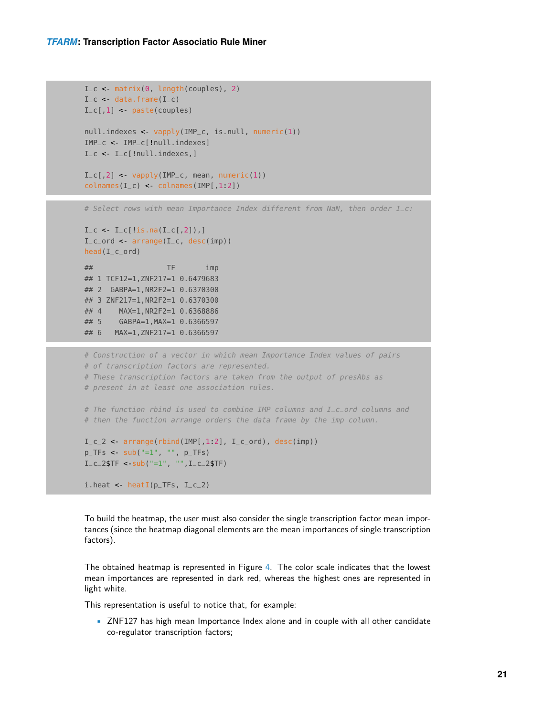```
I_c < matrix(0, length(couples), 2)
I_{-}c < data.frame(I_{-}c)
I_c[1] < paste(couples)
null.indexes <- vapply(IMP_c, is.null, numeric(1))
IMP_c <- IMP_c[!null.indexes]
I_c <- I_c[!null.indexes,]
I_c[,2] < vapply(IMP<sub>_c</sub>, mean, numeric(1))
colnames(I_c) < colnames(IMP[, 1:2])
```
# Select rows with mean Importance Index different from NaN, then order I\_c:

```
I_{-}c < I_{-}c [!is.na(I_c[,2]),]
I_{c} arrange(I_{c}, desc(imp))
head(I_c_ord)
## TF imp
## 1 TCF12=1,ZNF217=1 0.6479683
## 2 GABPA=1,NR2F2=1 0.6370300
## 3 ZNF217=1,NR2F2=1 0.6370300
```

```
## 4 MAX=1,NR2F2=1 0.6368886
## 5 GABPA=1,MAX=1 0.6366597
## 6 MAX=1,ZNF217=1 0.6366597
```

```
# Construction of a vector in which mean Importance Index values of pairs
# of transcription factors are represented.
# These transcription factors are taken from the output of presAbs as
# present in at least one association rules.
# The function rbind is used to combine IMP columns and I_c_ord columns and
# then the function arrange orders the data frame by the imp column.
I_c_2 < arrange(rbind(IMP[,1.2], I_c_1ord), desc(imp))
p_TFS < -sub>sub("=1", "", p_TFS)I_{-}c_{-}2$TF < sub("=1", "",I_{-}c_{-}2$TF)
i.heat <- heatI(p_TFs, I_c_2)
```
To build the heatmap, the user must also consider the single transcription factor mean importances (since the heatmap diagonal elements are the mean importances of single transcription factors).

The obtained heatmap is represented in Figure [4.](#page-21-7) The color scale indicates that the lowest mean importances are represented in dark red, whereas the highest ones are represented in light white.

This representation is useful to notice that, for example:

• ZNF127 has high mean Importance Index alone and in couple with all other candidate co-regulator transcription factors;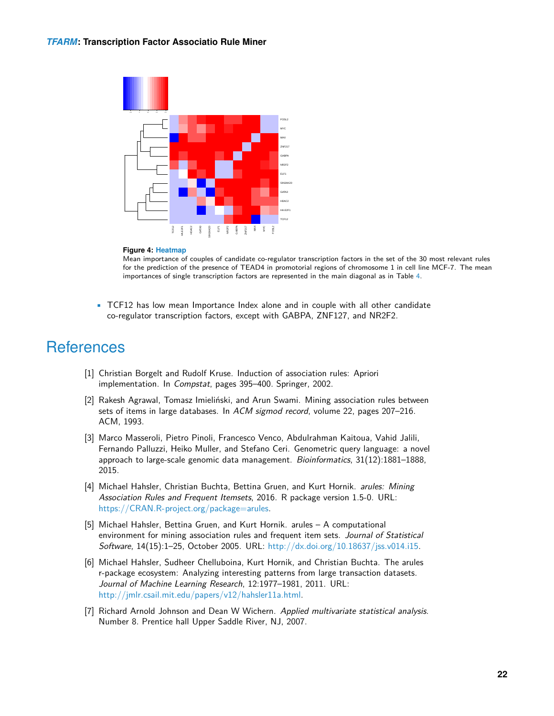<span id="page-21-7"></span>

#### **Figure 4: Heatmap**

Mean importance of couples of candidate co-regulator transcription factors in the set of the 30 most relevant rules for the prediction of the presence of TEAD4 in promotorial regions of chromosome 1 in cell line MCF-7. The mean importances of single transcription factors are represented in the main diagonal as in Table [4.](#page-19-0)

• TCF12 has low mean Importance Index alone and in couple with all other candidate co-regulator transcription factors, except with GABPA, ZNF127, and NR2F2.

### **References**

- <span id="page-21-0"></span>[1] Christian Borgelt and Rudolf Kruse. Induction of association rules: Apriori implementation. In Compstat, pages 395–400. Springer, 2002.
- <span id="page-21-1"></span>[2] Rakesh Agrawal, Tomasz Imieliński, and Arun Swami. Mining association rules between sets of items in large databases. In ACM sigmod record, volume 22, pages 207–216. ACM, 1993.
- <span id="page-21-2"></span>[3] Marco Masseroli, Pietro Pinoli, Francesco Venco, Abdulrahman Kaitoua, Vahid Jalili, Fernando Palluzzi, Heiko Muller, and Stefano Ceri. Genometric query language: a novel approach to large-scale genomic data management. Bioinformatics, 31(12):1881–1888, 2015.
- <span id="page-21-3"></span>[4] Michael Hahsler, Christian Buchta, Bettina Gruen, and Kurt Hornik. arules: Mining Association Rules and Frequent Itemsets, 2016. R package version 1.5-0. URL: [https://CRAN.R-project.org/package=arules.](https://CRAN.R-project.org/package=arules)
- <span id="page-21-4"></span>[5] Michael Hahsler, Bettina Gruen, and Kurt Hornik. arules – A computational environment for mining association rules and frequent item sets. Journal of Statistical Software, 14(15):1–25, October 2005. URL: [http://dx.doi.org/10.18637/jss.v014.i15.](http://dx.doi.org/10.18637/jss.v014.i15)
- <span id="page-21-5"></span>[6] Michael Hahsler, Sudheer Chelluboina, Kurt Hornik, and Christian Buchta. The arules r-package ecosystem: Analyzing interesting patterns from large transaction datasets. Journal of Machine Learning Research, 12:1977–1981, 2011. URL: [http://jmlr.csail.mit.edu/papers/v12/hahsler11a.html.](http://jmlr.csail.mit.edu/papers/v12/hahsler11a.html)
- <span id="page-21-6"></span>[7] Richard Arnold Johnson and Dean W Wichern. Applied multivariate statistical analysis. Number 8. Prentice hall Upper Saddle River, NJ, 2007.